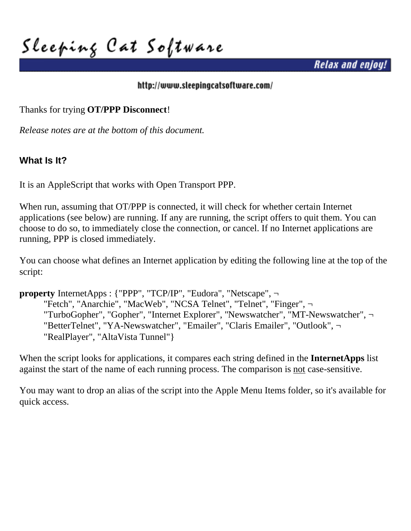**Sleeping Cat Software**

*Relax and enjoy!*

#### <http://www.sleepingcatsoftware.com/>

Thanks for trying **OT/PPP Disconnect**!

*Release notes are at the bottom of this document.*

# **What Is It?**

It is an AppleScript that works with Open Transport PPP.

When run, assuming that OT/PPP is connected, it will check for whether certain Internet applications (see below) are running. If any are running, the script offers to quit them. You can choose to do so, to immediately close the connection, or cancel. If no Internet applications are running, PPP is closed immediately.

You can choose what defines an Internet application by editing the following line at the top of the script:

**property** InternetApps : {"PPP", "TCP/IP", "Eudora", "Netscape", ¬ "Fetch", "Anarchie", "MacWeb", "NCSA Telnet", "Telnet", "Finger", ¬ "TurboGopher", "Gopher", "Internet Explorer", "Newswatcher", "MT-Newswatcher", ¬ "BetterTelnet", "YA-Newswatcher", "Emailer", "Claris Emailer", "Outlook", ¬ "RealPlayer", "AltaVista Tunnel"}

When the script looks for applications, it compares each string defined in the **InternetApps** list against the start of the name of each running process. The comparison is not case-sensitive.

You may want to drop an alias of the script into the Apple Menu Items folder, so it's available for quick access.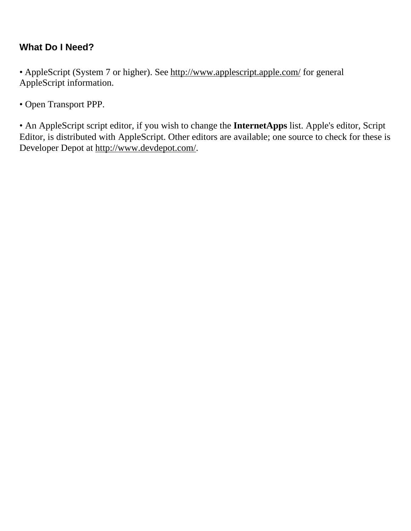# **What Do I Need?**

• AppleScript (System 7 or higher). See<http://www.applescript.apple.com/>for general AppleScript information.

• Open Transport PPP.

• An AppleScript script editor, if you wish to change the **InternetApps** list. Apple's editor, Script Editor, is distributed with AppleScript. Other editors are available; one source to check for these is Developer Depot at http://www.devdepot.com/.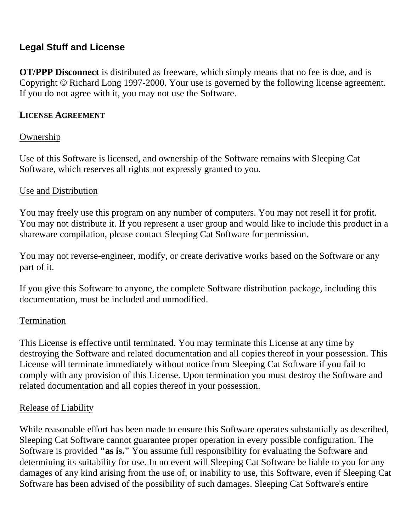# **Legal Stuff and License**

**OT/PPP Disconnect** is distributed as freeware, which simply means that no fee is due, and is Copyright © Richard Long 1997-2000. Your use is governed by the following license agreement. If you do not agree with it, you may not use the Software.

### **LICENSE AGREEMENT**

## Ownership

Use of this Software is licensed, and ownership of the Software remains with Sleeping Cat Software, which reserves all rights not expressly granted to you.

### Use and Distribution

You may freely use this program on any number of computers. You may not resell it for profit. You may not distribute it. If you represent a user group and would like to include this product in a shareware compilation, please contact Sleeping Cat Software for permission.

You may not reverse-engineer, modify, or create derivative works based on the Software or any part of it.

If you give this Software to anyone, the complete Software distribution package, including this documentation, must be included and unmodified.

### Termination

This License is effective until terminated. You may terminate this License at any time by destroying the Software and related documentation and all copies thereof in your possession. This License will terminate immediately without notice from Sleeping Cat Software if you fail to comply with any provision of this License. Upon termination you must destroy the Software and related documentation and all copies thereof in your possession.

### Release of Liability

While reasonable effort has been made to ensure this Software operates substantially as described, Sleeping Cat Software cannot guarantee proper operation in every possible configuration. The Software is provided **"as is."** You assume full responsibility for evaluating the Software and determining its suitability for use. In no event will Sleeping Cat Software be liable to you for any damages of any kind arising from the use of, or inability to use, this Software, even if Sleeping Cat Software has been advised of the possibility of such damages. Sleeping Cat Software's entire